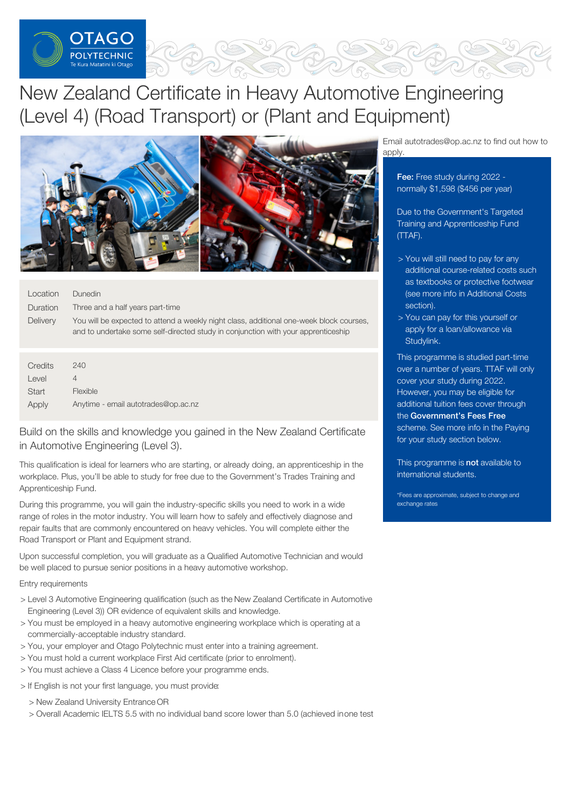

# New Zealand Certificate in Heavy Automotive Engineering (Level 4) (Road Transport) or (Plant and Equipment)



| Location        | Dunedin                                                                                                                                                                      |
|-----------------|------------------------------------------------------------------------------------------------------------------------------------------------------------------------------|
| Duration        | Three and a half years part-time                                                                                                                                             |
| <b>Delivery</b> | You will be expected to attend a weekly night class, additional one-week block courses,<br>and to undertake some self-directed study in conjunction with your apprenticeship |
|                 |                                                                                                                                                                              |

| Credits | 240                                 |
|---------|-------------------------------------|
| Level   |                                     |
| Start   | Flexible                            |
| Apply   | Anytime - email autotrades@op.ac.nz |

Build on the skills and knowledge you gained in the New Zealand Certificate in Automotive Engineering (Level 3).

This qualification is ideal for learners who are starting, or already doing, an apprenticeship in the workplace. Plus, you'll be able to study for free due to the Government's Trades Training and Apprenticeship Fund.

During this programme, you will gain the industry-specific skills you need to work in a wide range of roles in the motor industry. You will learn how to safely and effectively diagnose and repair faults that are commonly encountered on heavy vehicles. You will complete either the Road Transport or Plant and Equipment strand.

Upon successful completion, you will graduate as a Qualified Automotive Technician and would be well placed to pursue senior positions in a heavy automotive workshop.

## Entry requirements

- > Level 3 Automotive Engineering qualification (such as the New Zealand Certificate in Automotive Engineering (Level 3)) OR evidence of equivalent skills and knowledge.
- > You must be employed in a heavy automotive engineering workplace which is operating at a commercially-acceptable industry standard.
- > You, your employer and Otago Polytechnic must enter into a training agreement.
- > You must hold a current workplace First Aid certificate (prior to enrolment).
- > You must achieve a Class 4 Licence before your programme ends.
- > If English is not your first language, you must provide:
	- > New Zealand University Entrance OR
	- > Overall Academic IELTS 5.5 with no individual band score lower than 5.0 (achieved inone test

Email autotrades@op.ac.nz to find out how to apply.

Fee: Free study during 2022 normally \$1,598 (\$456 per year)

Due to the Government's Targeted Training and Apprenticeship Fund (TTAF).

- > You will still need to pay for any additional course-related costs such as textbooks or protective footwear (see more info in Additional Costs section).
- > You can pay for this yourself or apply for a loan/allowance via [Studylink](https://www.studylink.govt.nz/).

This programme is studied part-time over a number of years. TTAF will only cover your study during 2022. However, you may be eligible for additional tuition fees cover through the [Government's](https://www.feesfree.govt.nz/) Fees Free scheme. See more info in the Paying for your study section below.

This programme is not available to international students.

\*Fees are approximate, subject to change and exchange rates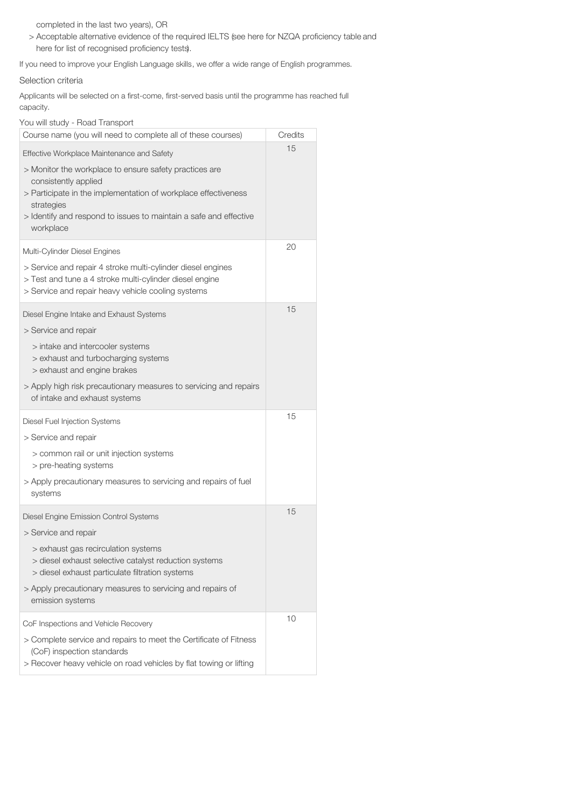completed in the last two years), OR

> Acceptable alternative evidence of the required IELTS (see here for NZQA proficiency table and here for list of recognised proficiency tests).

If you need to improve your English Language skills, we offer a wide range of English programmes.

# Selection criteria

Applicants will be selected on a first-come, first-served basis until the programme has reached full capacity.

| You will study - Road Transport                                                                                                                                              |         |
|------------------------------------------------------------------------------------------------------------------------------------------------------------------------------|---------|
| Course name (you will need to complete all of these courses)                                                                                                                 | Credits |
| Effective Workplace Maintenance and Safety                                                                                                                                   | 15      |
| > Monitor the workplace to ensure safety practices are<br>consistently applied                                                                                               |         |
| > Participate in the implementation of workplace effectiveness<br>strategies                                                                                                 |         |
| > Identify and respond to issues to maintain a safe and effective<br>workplace                                                                                               |         |
| Multi-Cylinder Diesel Engines                                                                                                                                                | 20      |
| > Service and repair 4 stroke multi-cylinder diesel engines<br>> Test and tune a 4 stroke multi-cylinder diesel engine<br>> Service and repair heavy vehicle cooling systems |         |
| Diesel Engine Intake and Exhaust Systems<br>> Service and repair                                                                                                             | 15      |
| > intake and intercooler systems<br>> exhaust and turbocharging systems<br>> exhaust and engine brakes                                                                       |         |
| > Apply high risk precautionary measures to servicing and repairs<br>of intake and exhaust systems                                                                           |         |
| Diesel Fuel Injection Systems                                                                                                                                                | 15      |
| > Service and repair                                                                                                                                                         |         |
| > common rail or unit injection systems<br>> pre-heating systems                                                                                                             |         |
| > Apply precautionary measures to servicing and repairs of fuel<br>systems                                                                                                   |         |
| Diesel Engine Emission Control Systems                                                                                                                                       | 15      |
| > Service and repair                                                                                                                                                         |         |
| > exhaust gas recirculation systems<br>> diesel exhaust selective catalyst reduction systems<br>> diesel exhaust particulate filtration systems                              |         |
| > Apply precautionary measures to servicing and repairs of<br>emission systems                                                                                               |         |
| CoF Inspections and Vehicle Recovery                                                                                                                                         | 10      |
| > Complete service and repairs to meet the Certificate of Fitness<br>(CoF) inspection standards<br>> Recover heavy vehicle on road vehicles by flat towing or lifting        |         |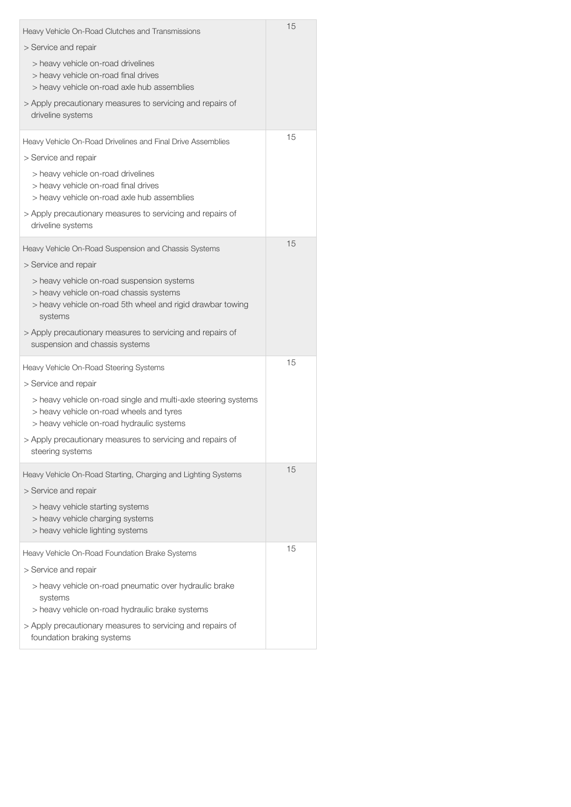| Heavy Vehicle On-Road Clutches and Transmissions                                                                                                               | 15 |
|----------------------------------------------------------------------------------------------------------------------------------------------------------------|----|
| > Service and repair                                                                                                                                           |    |
| > heavy vehicle on-road drivelines<br>> heavy vehicle on-road final drives<br>> heavy vehicle on-road axle hub assemblies                                      |    |
| > Apply precautionary measures to servicing and repairs of<br>driveline systems                                                                                |    |
| Heavy Vehicle On-Road Drivelines and Final Drive Assemblies                                                                                                    | 15 |
| > Service and repair                                                                                                                                           |    |
| > heavy vehicle on-road drivelines<br>> heavy vehicle on-road final drives<br>> heavy vehicle on-road axle hub assemblies                                      |    |
| > Apply precautionary measures to servicing and repairs of<br>driveline systems                                                                                |    |
| Heavy Vehicle On-Road Suspension and Chassis Systems                                                                                                           | 15 |
| > Service and repair                                                                                                                                           |    |
| > heavy vehicle on-road suspension systems<br>> heavy vehicle on-road chassis systems<br>> heavy vehicle on-road 5th wheel and rigid drawbar towing<br>systems |    |
| > Apply precautionary measures to servicing and repairs of<br>suspension and chassis systems                                                                   |    |
| Heavy Vehicle On-Road Steering Systems                                                                                                                         | 15 |
| > Service and repair                                                                                                                                           |    |
| > heavy vehicle on-road single and multi-axle steering systems<br>> heavy vehicle on-road wheels and tyres<br>> heavy vehicle on-road hydraulic systems        |    |
| > Apply precautionary measures to servicing and repairs of<br>steering systems                                                                                 |    |
| Heavy Vehicle On-Road Starting, Charging and Lighting Systems                                                                                                  | 15 |
| > Service and repair                                                                                                                                           |    |
| > heavy vehicle starting systems<br>> heavy vehicle charging systems<br>> heavy vehicle lighting systems                                                       |    |
| Heavy Vehicle On-Road Foundation Brake Systems                                                                                                                 | 15 |
| > Service and repair                                                                                                                                           |    |
| > heavy vehicle on-road pneumatic over hydraulic brake<br>systems                                                                                              |    |
| > heavy vehicle on-road hydraulic brake systems                                                                                                                |    |
| > Apply precautionary measures to servicing and repairs of<br>foundation braking systems                                                                       |    |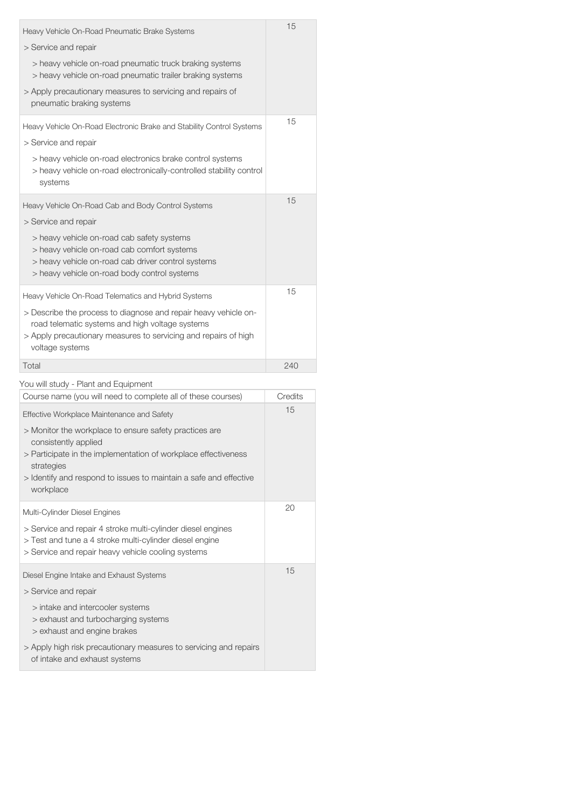| Heavy Vehicle On-Road Pneumatic Brake Systems<br>> Service and repair<br>> heavy vehicle on-road pneumatic truck braking systems<br>> heavy vehicle on-road pneumatic trailer braking systems<br>> Apply precautionary measures to servicing and repairs of<br>pneumatic braking systems              | 15      |
|-------------------------------------------------------------------------------------------------------------------------------------------------------------------------------------------------------------------------------------------------------------------------------------------------------|---------|
| Heavy Vehicle On-Road Electronic Brake and Stability Control Systems<br>> Service and repair<br>> heavy vehicle on-road electronics brake control systems<br>> heavy vehicle on-road electronically-controlled stability control<br>systems                                                           | 15      |
| Heavy Vehicle On-Road Cab and Body Control Systems<br>> Service and repair<br>> heavy vehicle on-road cab safety systems<br>> heavy vehicle on-road cab comfort systems<br>> heavy vehicle on-road cab driver control systems<br>> heavy vehicle on-road body control systems                         | 15      |
| Heavy Vehicle On-Road Telematics and Hybrid Systems<br>> Describe the process to diagnose and repair heavy vehicle on-<br>road telematic systems and high voltage systems<br>> Apply precautionary measures to servicing and repairs of high<br>voltage systems                                       | 15      |
|                                                                                                                                                                                                                                                                                                       |         |
| Total                                                                                                                                                                                                                                                                                                 | 240     |
|                                                                                                                                                                                                                                                                                                       |         |
| You will study - Plant and Equipment<br>Course name (you will need to complete all of these courses)                                                                                                                                                                                                  | Credits |
| <b>Effective Workplace Maintenance and Safety</b><br>> Monitor the workplace to ensure safety practices are<br>consistently applied<br>> Participate in the implementation of workplace effectiveness<br>strategies<br>> Identify and respond to issues to maintain a safe and effective<br>workplace | 15      |
| Multi-Cylinder Diesel Engines                                                                                                                                                                                                                                                                         | 20      |
| > Service and repair 4 stroke multi-cylinder diesel engines<br>> Test and tune a 4 stroke multi-cylinder diesel engine<br>> Service and repair heavy vehicle cooling systems                                                                                                                          |         |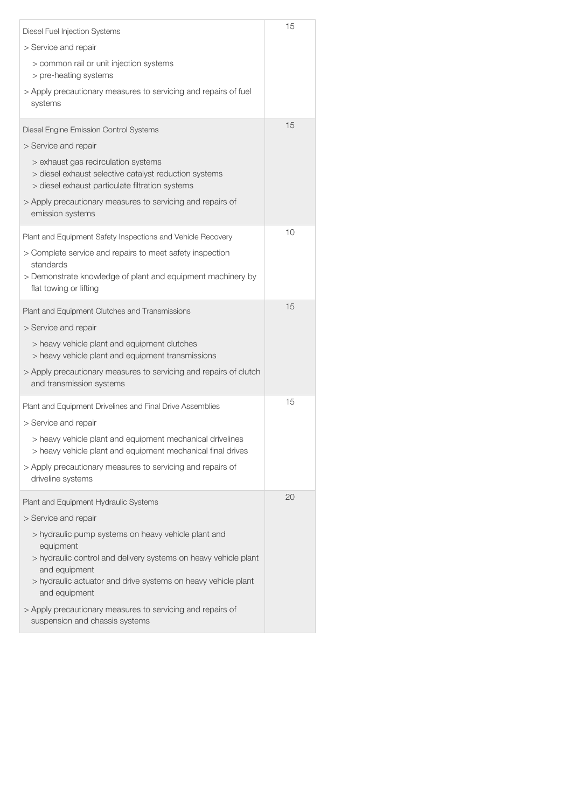| Diesel Fuel Injection Systems                                                                                                                   | 15 |
|-------------------------------------------------------------------------------------------------------------------------------------------------|----|
| > Service and repair                                                                                                                            |    |
| > common rail or unit injection systems<br>> pre-heating systems                                                                                |    |
| > Apply precautionary measures to servicing and repairs of fuel<br>systems                                                                      |    |
| Diesel Engine Emission Control Systems                                                                                                          | 15 |
| > Service and repair                                                                                                                            |    |
| > exhaust gas recirculation systems<br>> diesel exhaust selective catalyst reduction systems<br>> diesel exhaust particulate filtration systems |    |
| > Apply precautionary measures to servicing and repairs of<br>emission systems                                                                  |    |
| Plant and Equipment Safety Inspections and Vehicle Recovery                                                                                     | 10 |
| > Complete service and repairs to meet safety inspection                                                                                        |    |
| standards<br>> Demonstrate knowledge of plant and equipment machinery by<br>flat towing or lifting                                              |    |
| Plant and Equipment Clutches and Transmissions                                                                                                  | 15 |
| > Service and repair                                                                                                                            |    |
| > heavy vehicle plant and equipment clutches<br>> heavy vehicle plant and equipment transmissions                                               |    |
| > Apply precautionary measures to servicing and repairs of clutch<br>and transmission systems                                                   |    |
| Plant and Equipment Drivelines and Final Drive Assemblies                                                                                       | 15 |
| > Service and repair                                                                                                                            |    |
| > heavy vehicle plant and equipment mechanical drivelines<br>> heavy vehicle plant and equipment mechanical final drives                        |    |
| > Apply precautionary measures to servicing and repairs of<br>driveline systems                                                                 |    |
| Plant and Equipment Hydraulic Systems                                                                                                           | 20 |
| > Service and repair                                                                                                                            |    |
| > hydraulic pump systems on heavy vehicle plant and<br>equipment                                                                                |    |
| > hydraulic control and delivery systems on heavy vehicle plant<br>and equipment                                                                |    |
| > hydraulic actuator and drive systems on heavy vehicle plant<br>and equipment                                                                  |    |
| > Apply precautionary measures to servicing and repairs of<br>suspension and chassis systems                                                    |    |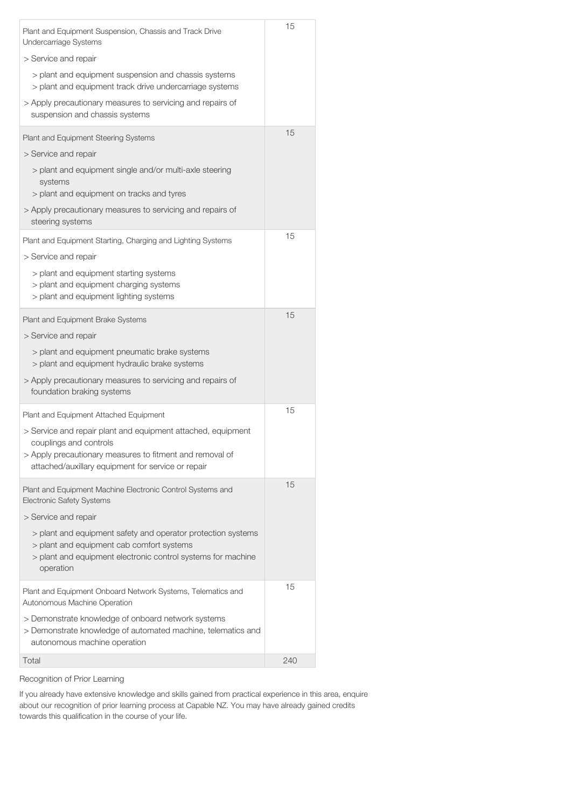| Plant and Equipment Suspension, Chassis and Track Drive<br>Undercarriage Systems                                                                                                                         | 15  |
|----------------------------------------------------------------------------------------------------------------------------------------------------------------------------------------------------------|-----|
| > Service and repair                                                                                                                                                                                     |     |
| > plant and equipment suspension and chassis systems<br>> plant and equipment track drive undercarriage systems                                                                                          |     |
| > Apply precautionary measures to servicing and repairs of<br>suspension and chassis systems                                                                                                             |     |
| Plant and Equipment Steering Systems                                                                                                                                                                     | 15  |
| > Service and repair                                                                                                                                                                                     |     |
| > plant and equipment single and/or multi-axle steering<br>systems<br>> plant and equipment on tracks and tyres                                                                                          |     |
| > Apply precautionary measures to servicing and repairs of<br>steering systems                                                                                                                           |     |
| Plant and Equipment Starting, Charging and Lighting Systems                                                                                                                                              | 15  |
| > Service and repair                                                                                                                                                                                     |     |
| > plant and equipment starting systems<br>> plant and equipment charging systems<br>> plant and equipment lighting systems                                                                               |     |
| Plant and Equipment Brake Systems                                                                                                                                                                        | 15  |
| > Service and repair                                                                                                                                                                                     |     |
| > plant and equipment pneumatic brake systems<br>> plant and equipment hydraulic brake systems                                                                                                           |     |
| > Apply precautionary measures to servicing and repairs of<br>foundation braking systems                                                                                                                 |     |
| Plant and Equipment Attached Equipment                                                                                                                                                                   | 15  |
| > Service and repair plant and equipment attached, equipment<br>couplings and controls<br>> Apply precautionary measures to fitment and removal of<br>attached/auxillary equipment for service or repair |     |
| Plant and Equipment Machine Electronic Control Systems and<br><b>Electronic Safety Systems</b>                                                                                                           | 15  |
| > Service and repair                                                                                                                                                                                     |     |
| > plant and equipment safety and operator protection systems<br>> plant and equipment cab comfort systems<br>> plant and equipment electronic control systems for machine<br>operation                   |     |
| Plant and Equipment Onboard Network Systems, Telematics and<br>Autonomous Machine Operation                                                                                                              | 15  |
| > Demonstrate knowledge of onboard network systems<br>> Demonstrate knowledge of automated machine, telematics and<br>autonomous machine operation                                                       |     |
| Total                                                                                                                                                                                                    | 240 |

Recognition of Prior Learning

If you already have extensive knowledge and skills gained from practical experience in this area, enquire about our recognition of prior learning process at Capable NZ. You may have already gained credits towards this qualification in the course of your life.